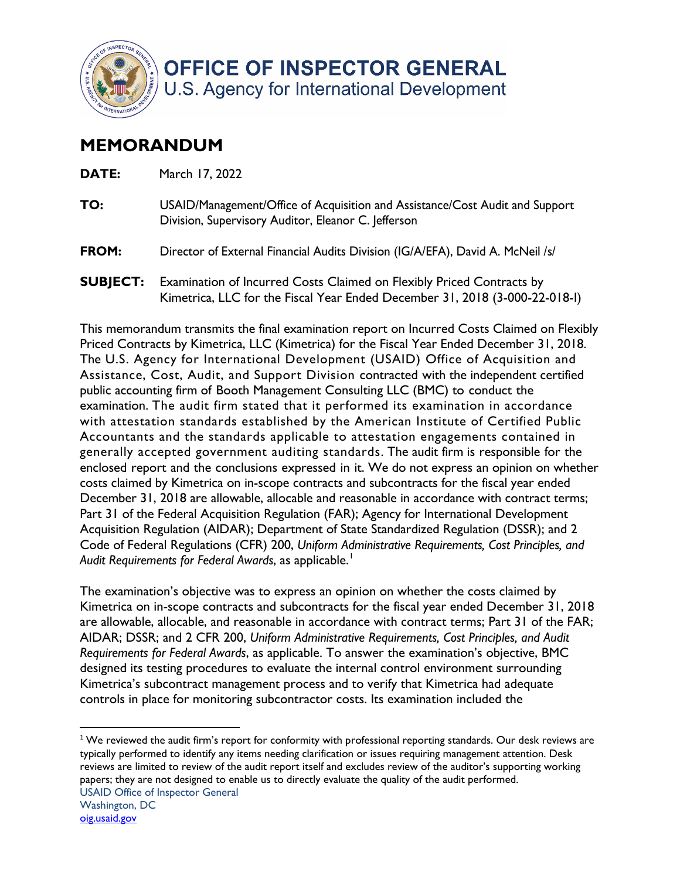

## **MEMORANDUM**

| DATE: | March 17, 2022                                                                                                                      |
|-------|-------------------------------------------------------------------------------------------------------------------------------------|
| TO:   | USAID/Management/Office of Acquisition and Assistance/Cost Audit and Support<br>Division, Supervisory Auditor, Eleanor C. Jefferson |
| FROM: | Director of External Financial Audits Division (IG/A/EFA), David A. McNeil /s/                                                      |
|       | <b>SUBJECT:</b> Examination of Incurred Costs Claimed on Flexibly Priced Contracts by                                               |

Kimetrica, LLC for the Fiscal Year Ended December 31, 2018 (3-000-22-018-I)

 This memorandum transmits the final examination report on Incurred Costs Claimed on Flexibly Assistance, Cost, Audit, and Support Division contracted with the independent certified public accounting firm of Booth Management Consulting LLC (BMC) to conduct the generally accepted government auditing standards. The audit firm is responsible for the enclosed report and the conclusions expressed in it. We do not express an opinion on whether December 31, 2018 are allowable, allocable and reasonable in accordance with contract terms; *Audit Requirements for Federal Awards*, as applicable. 1 Priced Contracts by Kimetrica, LLC (Kimetrica) for the Fiscal Year Ended December 31, 2018. The U.S. Agency for International Development (USAID) Office of Acquisition and examination. The audit firm stated that it performed its examination in accordance with attestation standards established by the American Institute of Certified Public Accountants and the standards applicable to attestation engagements contained in costs claimed by Kimetrica on in-scope contracts and subcontracts for the fiscal year ended Part 31 of the Federal Acquisition Regulation (FAR); Agency for International Development Acquisition Regulation (AIDAR); Department of State Standardized Regulation (DSSR); and 2 Code of Federal Regulations (CFR) 200, *Uniform Administrative Requirements, Cost Principles, and* 

 The examination's objective was to express an opinion on whether the costs claimed by Kimetrica on in-scope contracts and subcontracts for the fiscal year ended December 31, 2018 are allowable, allocable, and reasonable in accordance with contract terms; Part 31 of the FAR; Kimetrica's subcontract management process and to verify that Kimetrica had adequate AIDAR; DSSR; and 2 CFR 200, *Uniform Administrative Requirements, Cost Principles, and Audit Requirements for Federal Awards*, as applicable. To answer the examination's objective, BMC designed its testing procedures to evaluate the internal control environment surrounding controls in place for monitoring subcontractor costs. Its examination included the

 $1$ We reviewed the audit firm's report for conformity with professional reporting standards. Our desk reviews are typically performed to identify any items needing clarification or issues requiring management attention. Desk reviews are limited to review of the audit report itself and excludes review of the auditor's supporting working papers; they are not designed to enable us to directly evaluate the quality of the audit performed.